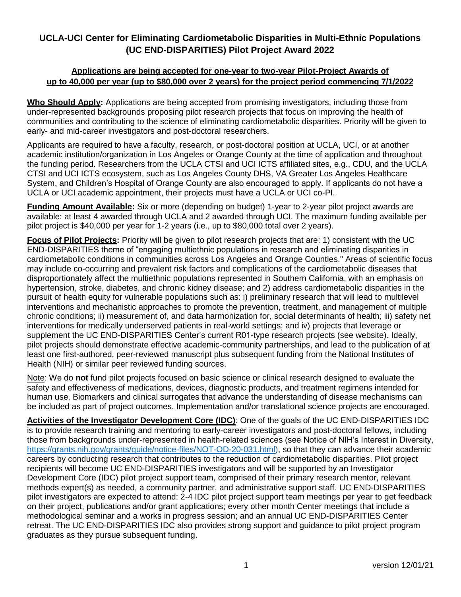# **UCLA-UCI Center for Eliminating Cardiometabolic Disparities in Multi-Ethnic Populations (UC END-DISPARITIES) Pilot Project Award 2022**

#### **Applications are being accepted for one-year to two-year Pilot-Project Awards of up to 40,000 per year (up to \$80,000 over 2 years) for the project period commencing 7/1/2022**

**Who Should Apply:** Applications are being accepted from promising investigators, including those from under-represented backgrounds proposing pilot research projects that focus on improving the health of communities and contributing to the science of eliminating cardiometabolic disparities. Priority will be given to early- and mid-career investigators and post-doctoral researchers.

Applicants are required to have a faculty, research, or post-doctoral position at UCLA, UCI, or at another academic institution/organization in Los Angeles or Orange County at the time of application and throughout the funding period. Researchers from the UCLA CTSI and UCI ICTS affiliated sites, e.g., CDU, and the UCLA CTSI and UCI ICTS ecosystem, such as Los Angeles County DHS, VA Greater Los Angeles Healthcare System, and Children's Hospital of Orange County are also encouraged to apply. If applicants do not have a UCLA or UCI academic appointment, their projects must have a UCLA or UCI co-PI.

**Funding Amount Available:** Six or more (depending on budget) 1-year to 2-year pilot project awards are available: at least 4 awarded through UCLA and 2 awarded through UCI. The maximum funding available per pilot project is \$40,000 per year for 1-2 years (i.e., up to \$80,000 total over 2 years).

**Focus of Pilot Projects:** Priority will be given to pilot research projects that are: 1) consistent with the UC END-DISPARITIES theme of "engaging multiethnic populations in research and eliminating disparities in cardiometabolic conditions in communities across Los Angeles and Orange Counties." Areas of scientific focus may include co-occurring and prevalent risk factors and complications of the cardiometabolic diseases that disproportionately affect the multiethnic populations represented in Southern California, with an emphasis on hypertension, stroke, diabetes, and chronic kidney disease; and 2) address cardiometabolic disparities in the pursuit of health equity for vulnerable populations such as: i) preliminary research that will lead to multilevel interventions and mechanistic approaches to promote the prevention, treatment, and management of multiple chronic conditions; ii) measurement of, and data harmonization for, social determinants of health; iii) safety net interventions for medically underserved patients in real-world settings; and iv) projects that leverage or supplement the UC END-DISPARITIES Center's current R01-type research projects (see website). Ideally, pilot projects should demonstrate effective academic-community partnerships, and lead to the publication of at least one first-authored, peer-reviewed manuscript plus subsequent funding from the National Institutes of Health (NIH) or similar peer reviewed funding sources.

Note: We do **not** fund pilot projects focused on basic science or clinical research designed to evaluate the safety and effectiveness of medications, devices, diagnostic products, and treatment regimens intended for human use. Biomarkers and clinical surrogates that advance the understanding of disease mechanisms can be included as part of project outcomes. Implementation and/or translational science projects are encouraged.

**Activities of the Investigator Development Core (IDC)**: One of the goals of the UC END-DISPARITIES IDC is to provide research training and mentoring to early-career investigators and post-doctoral fellows, including those from backgrounds under-represented in health-related sciences (see Notice of NIH's Interest in Diversity, [https://grants.nih.gov/grants/guide/notice-files/NOT-OD-20-031.html\)](https://grants.nih.gov/grants/guide/notice-files/NOT-OD-20-031.html), so that they can advance their academic careers by conducting research that contributes to the reduction of cardiometabolic disparities. Pilot project recipients will become UC END-DISPARITIES investigators and will be supported by an Investigator Development Core (IDC) pilot project support team, comprised of their primary research mentor, relevant methods expert(s) as needed, a community partner, and administrative support staff. UC END-DISPARITIES pilot investigators are expected to attend: 2-4 IDC pilot project support team meetings per year to get feedback on their project, publications and/or grant applications; every other month Center meetings that include a methodological seminar and a works in progress session; and an annual UC END-DISPARITIES Center retreat. The UC END-DISPARITIES IDC also provides strong support and guidance to pilot project program graduates as they pursue subsequent funding.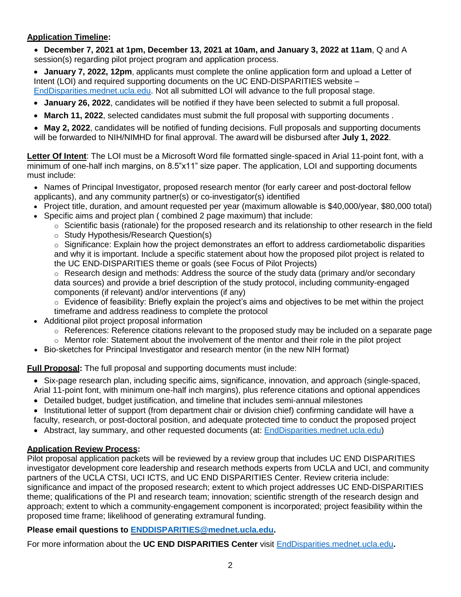## **Application Timeline:**

 **December 7, 2021 at 1pm, December 13, 2021 at 10am, and January 3, 2022 at 11am**, Q and A session(s) regarding pilot project program and application process.

 **January 7, 2022, 12pm**, applicants must complete the online application form and upload a Letter of Intent (LOI) and required supporting documents on the UC END-DISPARITIES website – [EndDisparities.mednet.ucla.edu.](https://enddisparities.mednet.ucla.edu/) Not all submitted LOI will advance to the full proposal stage.

- **January 26, 2022**, candidates will be notified if they have been selected to submit a full proposal.
- **March 11, 2022**, selected candidates must submit the full proposal with supporting documents .
- **May 2, 2022**, candidates will be notified of funding decisions. Full proposals and supporting documents will be forwarded to NIH/NIMHD for final approval. The award will be disbursed after **July 1, 2022**.

**Letter Of Intent**: The LOI must be a Microsoft Word file formatted single-spaced in Arial 11-point font, with a minimum of one-half inch margins, on 8.5"x11" size paper. The application, LOI and supporting documents must include:

- Names of Principal Investigator, proposed research mentor (for early career and post-doctoral fellow applicants), and any community partner(s) or co-investigator(s) identified
- Project title, duration, and amount requested per year (maximum allowable is \$40,000/year, \$80,000 total)
- Specific aims and project plan ( combined 2 page maximum) that include:
	- $\circ$  Scientific basis (rationale) for the proposed research and its relationship to other research in the field
	- o Study Hypothesis/Research Question(s)

 $\circ$  Significance: Explain how the project demonstrates an effort to address cardiometabolic disparities and why it is important. Include a specific statement about how the proposed pilot project is related to the UC END-DISPARITIES theme or goals (see Focus of Pilot Projects)

 $\circ$  Research design and methods: Address the source of the study data (primary and/or secondary data sources) and provide a brief description of the study protocol, including community-engaged components (if relevant) and/or interventions (if any)

- $\circ$  Evidence of feasibility: Briefly explain the project's aims and objectives to be met within the project
- timeframe and address readiness to complete the protocol
- Additional pilot project proposal information
	- $\circ$  References: Reference citations relevant to the proposed study may be included on a separate page
	- $\circ$  Mentor role: Statement about the involvement of the mentor and their role in the pilot project
- Bio-sketches for Principal Investigator and research mentor (in the new NIH format)

**Full Proposal:** The full proposal and supporting documents must include:

- Six-page research plan, including specific aims, significance, innovation, and approach (single-spaced, Arial 11-point font, with minimum one-half inch margins), plus reference citations and optional appendices
- Detailed budget, budget justification, and timeline that includes semi-annual milestones
- Institutional letter of support (from department chair or division chief) confirming candidate will have a faculty, research, or post-doctoral position, and adequate protected time to conduct the proposed project
- Abstract, lay summary, and other requested documents (at: **[EndDisparities.mednet.ucla.edu\)](https://enddisparities.mednet.ucla.edu/)**

### **Application Review Process:**

Pilot proposal application packets will be reviewed by a review group that includes UC END DISPARITIES investigator development core leadership and research methods experts from UCLA and UCI, and community partners of the UCLA CTSI, UCI ICTS, and UC END DISPARITIES Center. Review criteria include: significance and impact of the proposed research; extent to which project addresses UC END-DISPARITIES theme; qualifications of the PI and research team; innovation; scientific strength of the research design and approach; extent to which a community-engagement component is incorporated; project feasibility within the proposed time frame; likelihood of generating extramural funding.

### **Please email questions to [ENDDISPARITIES@mednet.ucla.edu.](mailto:ENDDISPARITIES@mednet.ucla.edu)**

For more information about the **UC END DISPARITIES Center** visit [EndDisparities.mednet.ucla.edu](https://enddisparities.mednet.ucla.edu/)**.**